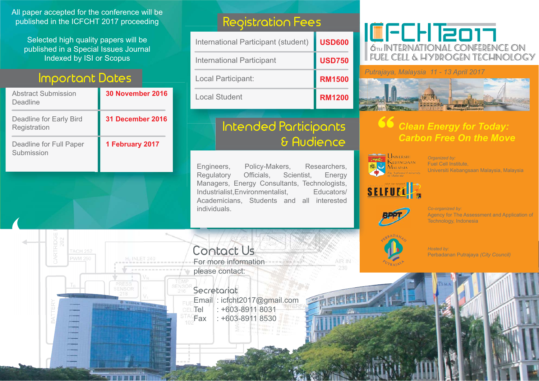All paper accepted for the conference will be published in the ICFCHT 2017 proceeding

Selected high quality papers will be published in a Special Issues Journal Indexed by ISI or Scopus

### **Important Dates**

| Abstract Submission<br>Deadline         | <b>30 November 2016</b> |
|-----------------------------------------|-------------------------|
| Deadline for Early Bird<br>Registration | 31 December 2016        |
| Deadline for Full Paper<br>Submission   | 1 February 2017         |

### **Registration Fees es**

| International Participant (student) | <b>USD600</b> |
|-------------------------------------|---------------|
| International Participant           | <b>USD750</b> |
| Local Participant:                  | <b>RM1500</b> |
| Local Student                       | <b>RM1200</b> |

### **Intended Participants t d d P ti t & Audience & Audience i**

Engineers, Policy-Makers, Researchers, Regulatory Officials, Scientist, Energy Managers, Energy Consultants, Technologists, Industrialist,Environmentalist, Educators/ Academicians, Students and all interested individuals.

### **ICFCHT2017** 674 INTERNATIONAL CONFERENCE ON FUEL CELL & HYDROGEN TECHNOLOGY

*Putrajaya, Malaysia 11 - 13 April 2017 P*



### **66** *Clean Energy for Today:* **Carbon Free On the Move**



*Organized by:*  Fuel Cell Institute, Universiti Kebangsaan Malaysia, Malaysia





*Co-organized by:*  Agency for The Assessment and Application of Technology, Indonesia



Perbadanan Putrajaya *(City Council)*